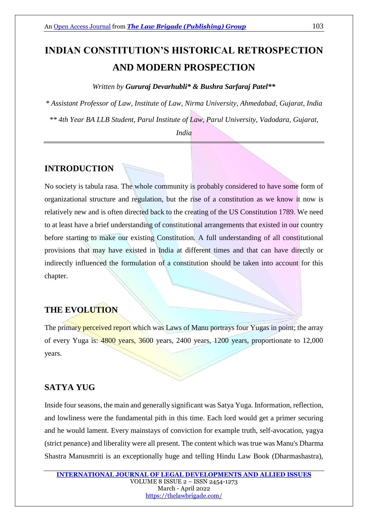# **INDIAN CONSTITUTION'S HISTORICAL RETROSPECTION AND MODERN PROSPECTION**

#### *Written by Gururaj Devarhubli\* & Bushra Sarfaraj Patel\*\**

*\* Assistant Professor of Law, Institute of Law, Nirma University, Ahmedabad, Gujarat, India \*\* 4th Year BA LLB Student, Parul Institute of Law, Parul University, Vadodara, Gujarat,* 

*India*

## **INTRODUCTION**

No society is tabula rasa. The whole community is probably considered to have some form of organizational structure and regulation, but the rise of a constitution as we know it now is relatively new and is often directed back to the creating of the US Constitution 1789. We need to at least have a brief understanding of constitutional arrangements that existed in our country before starting to make our existing Constitution. A full understanding of all constitutional provisions that may have existed in India at different times and that can have directly or indirectly influenced the formulation of a constitution should be taken into account for this chapter.

### **THE EVOLUTION**

The primary perceived report which was Laws of Manu portrays four Yugas in point; the array of every Yuga is: 4800 years, 3600 years, 2400 years, 1200 years, proportionate to 12,000 years.

## **SATYA YUG**

Inside four seasons, the main and generally significant was Satya Yuga. Information, reflection, and lowliness were the fundamental pith in this time. Each lord would get a primer securing and he would lament. Every mainstays of conviction for example truth, self-avocation, yagya (strict penance) and liberality were all present. The content which was true was Manu's Dharma Shastra Manusmriti is an exceptionally huge and telling Hindu Law Book (Dharmashastra),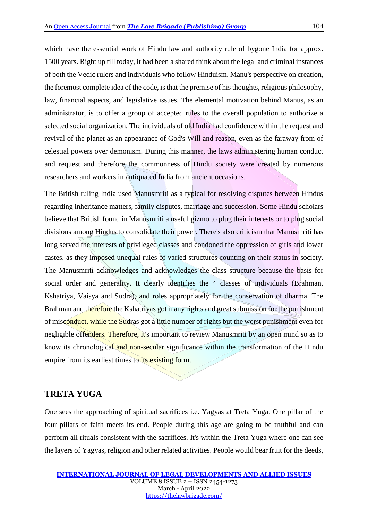which have the essential work of Hindu law and authority rule of bygone India for approx. 1500 years. Right up till today, it had been a shared think about the legal and criminal instances of both the Vedic rulers and individuals who follow Hinduism. Manu's perspective on creation, the foremost complete idea of the code, is that the premise of his thoughts, religious philosophy, law, financial aspects, and legislative issues. The elemental motivation behind Manus, as an administrator, is to offer a group of accepted rules to the overall population to authorize a selected social organization. The individuals of old India had confidence within the request and revival of the planet as an appearance of God's Will and reason, even as the faraway from of celestial powers over demonism. During this manner, the laws administering human conduct and request and therefore the commonness of Hindu society were created by numerous researchers and workers in antiquated India from ancient occasions.

The British ruling India used Manusmriti as a typical for resolving disputes between Hindus regarding inheritance matters, family disputes, marriage and succession. Some Hindu scholars believe that British found in Manusmriti a useful gizmo to plug their interests or to plug social divisions among Hindus to consolidate their power. There's also criticism that Manusmriti has long served the interests of privileged classes and condoned the oppression of girls and lower castes, as they imposed unequal rules of varied structures counting on their status in society. The Manusmriti acknowledges and acknowledges the class structure because the basis for social order and generality. It clearly identifies the 4 classes of individuals (Brahman, Kshatriya, Vaisya and Sudra), and roles appropriately for the conservation of dharma. The Brahman and therefore the Kshatriyas got many rights and great submission for the punishment of misconduct, while the Sudras got a little number of rights but the worst punishment even for negligible offenders. Therefore, it's important to review Manusmriti by an open mind so as to know its chronological and non-secular significance within the transformation of the Hindu empire from its earliest times to its existing form.

### **TRETA YUGA**

One sees the approaching of spiritual sacrifices i.e. Yagyas at Treta Yuga. One pillar of the four pillars of faith meets its end. People during this age are going to be truthful and can perform all rituals consistent with the sacrifices. It's within the Treta Yuga where one can see the layers of Yagyas, religion and other related activities. People would bear fruit for the deeds,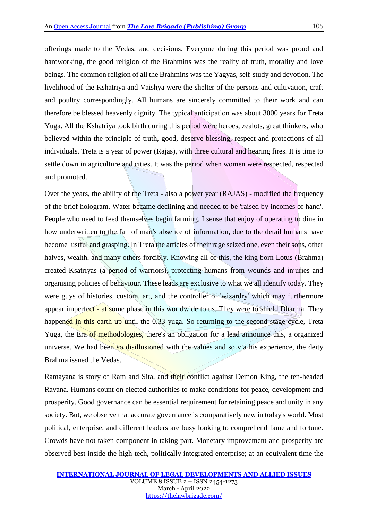offerings made to the Vedas, and decisions. Everyone during this period was proud and hardworking, the good religion of the Brahmins was the reality of truth, morality and love beings. The common religion of all the Brahmins was the Yagyas, self-study and devotion. The livelihood of the Kshatriya and Vaishya were the shelter of the persons and cultivation, craft and poultry correspondingly. All humans are sincerely committed to their work and can therefore be blessed heavenly dignity. The typical anticipation was about 3000 years for Treta Yuga. All the Kshatriya took birth during this period were heroes, zealots, great thinkers, who believed within the principle of truth, good, deserve blessing, respect and protections of all individuals. Treta is a year of power (Rajas), with three cultural and hearing fires. It is time to settle down in agriculture and cities. It was the period when women were respected, respected and promoted.

Over the years, the ability of the Treta - also a power year (RAJAS) - modified the frequency of the brief hologram. Water became declining and needed to be 'raised by incomes of hand'. People who need to feed themselves begin farming. I sense that enjoy of operating to dine in how underwritten to the fall of man's absence of information, due to the detail humans have become lustful and grasping. In Treta the articles of their rage seized one, even their sons, other halves, wealth, and many others forcibly. Knowing all of this, the king born Lotus (Brahma) created Ksatriyas (a period of warriors), protecting humans from wounds and injuries and organising policies of behaviour. These leads are exclusive to what we all identify today. They were guys of histories, custom, art, and the controller of 'wizardry' which may furthermore appear imperfect - at some phase in this worldwide to us. They were to shield Dharma. They happened in this earth up until the 0.33 yuga. So returning to the second stage cycle, Treta Yuga, the Era of methodologies, there's an obligation for a lead announce this, a organized universe. We had been so disillusioned with the values and so via his experience, the deity Brahma issued the Vedas.

Ramayana is story of Ram and Sita, and their conflict against Demon King, the ten-headed Ravana. Humans count on elected authorities to make conditions for peace, development and prosperity. Good governance can be essential requirement for retaining peace and unity in any society. But, we observe that accurate governance is comparatively new in today's world. Most political, enterprise, and different leaders are busy looking to comprehend fame and fortune. Crowds have not taken component in taking part. Monetary improvement and prosperity are observed best inside the high-tech, politically integrated enterprise; at an equivalent time the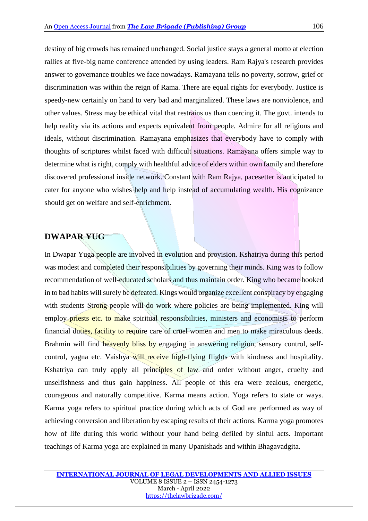destiny of big crowds has remained unchanged. Social justice stays a general motto at election rallies at five-big name conference attended by using leaders. Ram Rajya's research provides answer to governance troubles we face nowadays. Ramayana tells no poverty, sorrow, grief or discrimination was within the reign of Rama. There are equal rights for everybody. Justice is speedy-new certainly on hand to very bad and marginalized. These laws are nonviolence, and other values. Stress may be ethical vital that restrains us than coercing it. The govt. intends to help reality via its actions and expects equivalent from people. Admire for all religions and ideals, without discrimination. Ramayana emphasizes that everybody have to comply with thoughts of scriptures whilst faced with difficult situations. Ramayana offers simple way to determine what is right, comply with healthful advice of elders within own family and therefore discovered professional inside network. Constant with Ram Rajya, pacesetter is anticipated to cater for anyone who wishes help and help instead of accumulating wealth. His cognizance should get on welfare and self-enrichment.

#### **DWAPAR YUG**

In Dwapar Yuga people are involved in evolution and provision. Kshatriya during this period was modest and completed their responsibilities by governing their minds. King was to follow recommendation of well-educated scholars and thus maintain order. King who became hooked in to bad habits will surely be defeated. Kings would organize excellent conspiracy by engaging with students Strong people will do work where policies are being implemented. King will employ priests etc. to make spiritual responsibilities, ministers and economists to perform financial duties, facility to require care of cruel women and men to make miraculous deeds. Brahmin will find heavenly bliss by engaging in answering religion, sensory control, selfcontrol, yagna etc. Vaishya will receive high-flying flights with kindness and hospitality. Kshatriya can truly apply all principles of law and order without anger, cruelty and unselfishness and thus gain happiness. All people of this era were zealous, energetic, courageous and naturally competitive. Karma means action. Yoga refers to state or ways. Karma yoga refers to spiritual practice during which acts of God are performed as way of achieving conversion and liberation by escaping results of their actions. Karma yoga promotes how of life during this world without your hand being defiled by sinful acts. Important teachings of Karma yoga are explained in many Upanishads and within Bhagavadgita.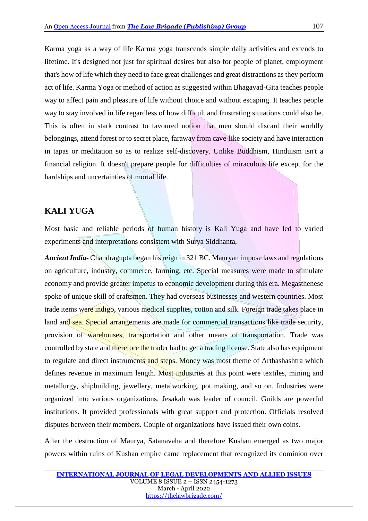Karma yoga as a way of life Karma yoga transcends simple daily activities and extends to lifetime. It's designed not just for spiritual desires but also for people of planet, employment that's how of life which they need to face great challenges and great distractions as they perform act of life. Karma Yoga or method of action as suggested within Bhagavad-Gita teaches people way to affect pain and pleasure of life without choice and without escaping. It teaches people way to stay involved in life regardless of how difficult and frustrating situations could also be. This is often in stark contrast to favoured notion that men should discard their worldly belongings, attend forest or to secret place, faraway from cave-like society and have interaction in tapas or meditation so as to realize self-discovery. Unlike Buddhism, Hinduism isn't a financial religion. It doesn't prepare people for difficulties of miraculous life except for the hardships and uncertainties of mortal life.

## **KALI YUGA**

Most basic and reliable periods of human history is Kali Yuga and have led to varied experiments and interpretations consistent with Surya Siddhanta,

*Ancient India-* Chandragupta began his reign in 321 BC. Mauryan impose laws and regulations on agriculture, industry, commerce, farming, etc. Special measures were made to stimulate economy and provide greater impetus to economic development during this era. Megasthenese spoke of unique skill of craftsmen. They had overseas businesses and western countries. Most trade items were indigo, various medical supplies, cotton and silk. Foreign trade takes place in land and sea. Special arrangements are made for commercial transactions like trade security, provision of warehouses, transportation and other means of transportation. Trade was controlled by state and therefore the trader had to get a trading license. State also has equipment to regulate and direct instruments and steps. Money was most theme of Arthashashtra which defines revenue in maximum length. Most industries at this point were textiles, mining and metallurgy, shipbuilding, jewellery, metalworking, pot making, and so on. Industries were organized into various organizations. Jesakah was leader of council. Guilds are powerful institutions. It provided professionals with great support and protection. Officials resolved disputes between their members. Couple of organizations have issued their own coins.

After the destruction of Maurya, Satanavaha and therefore Kushan emerged as two major powers within ruins of Kushan empire came replacement that recognized its dominion over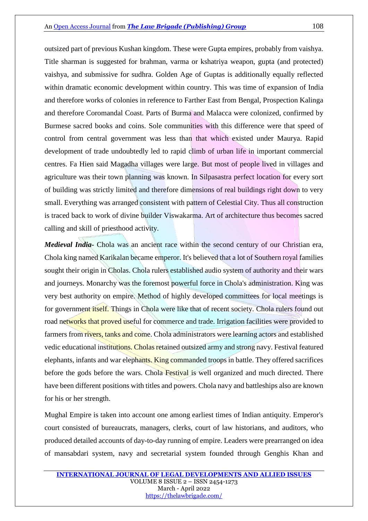outsized part of previous Kushan kingdom. These were Gupta empires, probably from vaishya. Title sharman is suggested for brahman, varma or kshatriya weapon, gupta (and protected) vaishya, and submissive for sudhra. Golden Age of Guptas is additionally equally reflected within dramatic economic development within country. This was time of expansion of India and therefore works of colonies in reference to Farther East from Bengal, Prospection Kalinga and therefore Coromandal Coast. Parts of Burma and Malacca were colonized, confirmed by Burmese sacred books and coins. Sole communities with this difference were that speed of control from central government was less than that which existed under Maurya. Rapid development of trade undoubtedly led to rapid climb of urban life in important commercial centres. Fa Hien said Magadha villages were large. But most of people lived in villages and agriculture was their town planning was known. In Silpasastra perfect location for every sort of building was strictly limited and therefore dimensions of real buildings right down to very small. Everything was arranged consistent with pattern of Celestial City. Thus all construction is traced back to work of divine builder Viswakarma. Art of architecture thus becomes sacred calling and skill of priesthood activity.

*Medieval India-* Chola was an ancient race within the second century of our Christian era, Chola king named Karikalan became emperor. It's believed that a lot of Southern royal families sought their origin in Cholas. Chola rulers established audio system of authority and their wars and journeys. Monarchy was the foremost powerful force in Chola's administration. King was very best authority on empire. Method of highly developed committees for local meetings is for government itself. Things in Chola were like that of recent society. Chola rulers found out road networks that proved useful for commerce and trade. Irrigation facilities were provided to farmers from rivers, tanks and come. Chola administrators were learning actors and established vedic educational institutions. Cholas retained outsized army and strong navy. Festival featured elephants, infants and war elephants. King commanded troops in battle. They offered sacrifices before the gods before the wars. Chola Festival is well organized and much directed. There have been different positions with titles and powers. Chola navy and battleships also are known for his or her strength.

Mughal Empire is taken into account one among earliest times of Indian antiquity. Emperor's court consisted of bureaucrats, managers, clerks, court of law historians, and auditors, who produced detailed accounts of day-to-day running of empire. Leaders were prearranged on idea of mansabdari system, navy and secretarial system founded through Genghis Khan and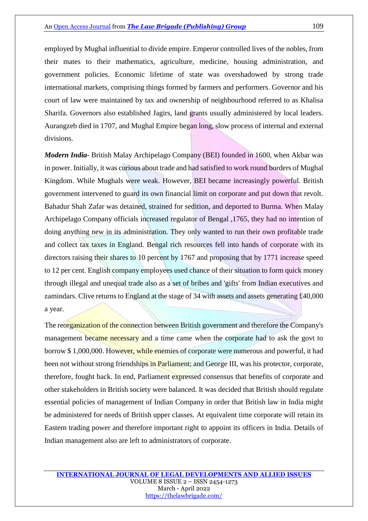employed by Mughal influential to divide empire. Emperor controlled lives of the nobles, from their mates to their mathematics, agriculture, medicine, housing administration, and government policies. Economic lifetime of state was overshadowed by strong trade international markets, comprising things formed by farmers and performers. Governor and his court of law were maintained by tax and ownership of neighbourhood referred to as Khalisa Sharifa. Governors also established Jagirs, land grants usually administered by local leaders. Aurangzeb died in 1707, and Mughal Empire began long, slow process of internal and external divisions.

*Modern India-* British Malay Archipelago Company (BEI) founded in 1600, when Akbar was in power. Initially, it was curious about trade and had satisfied to work round borders of Mughal Kingdom. While Mughals were weak. However, BEI became increasingly powerful. British government intervened to guard its own financial limit on corporate and put down that revolt. Bahadur Shah Zafar was detained, strained for sedition, and deported to Burma. When Malay Archipelago Company officials increased regulator of Bengal ,1765, they had no intention of doing anything new in its administration. They only wanted to run their own profitable trade and collect tax taxes in England. Bengal rich resources fell into hands of corporate with its directors raising their shares to 10 percent by 1767 and proposing that by 1771 increase speed to 12 per cent. English company employees used chance of their situation to form quick money through illegal and unequal trade also as a set of bribes and 'gifts' from Indian executives and zamindars. Clive returns to England at the stage of 34 with assets and assets generating £40,000 a year.

The reorganization of the connection between British government and therefore the Company's management became necessary and a time came when the corporate had to ask the govt to borrow \$ 1,000,000. However, while enemies of corporate were numerous and powerful, it had been not without strong friendships in Parliament; and George III, was his protector, corporate, therefore, fought back. In end, Parliament expressed consensus that benefits of corporate and other stakeholders in British society were balanced. It was decided that British should regulate essential policies of management of Indian Company in order that British law in India might be administered for needs of British upper classes. At equivalent time corporate will retain its Eastern trading power and therefore important right to appoint its officers in India. Details of Indian management also are left to administrators of corporate.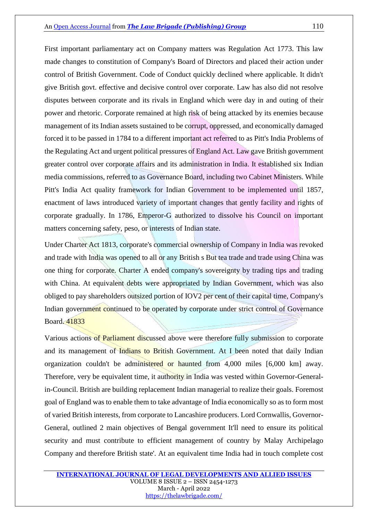#### An [Open Access Journal](https://thelawbrigade.com/) from **[The Law Brigade \(Publishing\) Group](https://thelawbrigade.com/)** 110

First important parliamentary act on Company matters was Regulation Act 1773. This law made changes to constitution of Company's Board of Directors and placed their action under control of British Government. Code of Conduct quickly declined where applicable. It didn't give British govt. effective and decisive control over corporate. Law has also did not resolve disputes between corporate and its rivals in England which were day in and outing of their power and rhetoric. Corporate remained at high risk of being attacked by its enemies because management of its Indian assets sustained to be corrupt, oppressed, and economically damaged forced it to be passed in 1784 to a different important act referred to as Pitt's India Problems of the Regulating Act and urgent political pressures of England Act. Law gave British government greater control over corporate affairs and its administration in India. It established six Indian media commissions, referred to as Governance Board, including two Cabinet Ministers. While Pitt's India Act quality framework for Indian Government to be implemented until 1857, enactment of laws introduced variety of important changes that gently facility and rights of corporate gradually. In 1786, Emperor-G authorized to dissolve his Council on important matters concerning safety, peso, or interests of Indian state.

Under Charter Act 1813, corporate's commercial ownership of Company in India was revoked and trade with India was opened to all or any British s But tea trade and trade using China was one thing for corporate. Charter A ended company's sovereignty by trading tips and trading with China. At equivalent debts were appropriated by Indian Government, which was also obliged to pay shareholders outsized portion of IOV2 per cent of their capital time, Company's Indian government continued to be operated by corporate under strict control of Governance Board. 41833

Various actions of Parliament discussed above were therefore fully submission to corporate and its management of Indians to British Government. At I been noted that daily Indian organization couldn't be administered or haunted from 4,000 miles [6,000 km] away. Therefore, very be equivalent time, it authority in India was vested within Governor-Generalin-Council. British are building replacement Indian managerial to realize their goals. Foremost goal of England was to enable them to take advantage of India economically so as to form most of varied British interests, from corporate to Lancashire producers. Lord Cornwallis, Governor-General, outlined 2 main objectives of Bengal government It'll need to ensure its political security and must contribute to efficient management of country by Malay Archipelago Company and therefore British state'. At an equivalent time India had in touch complete cost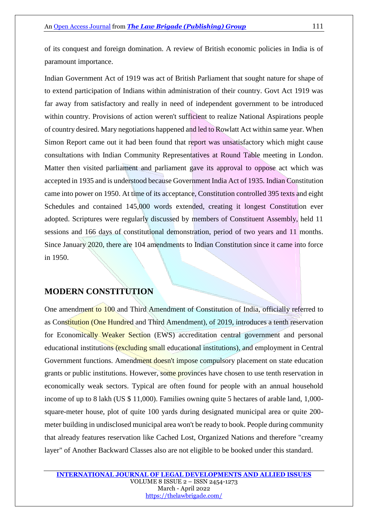of its conquest and foreign domination. A review of British economic policies in India is of paramount importance.

Indian Government Act of 1919 was act of British Parliament that sought nature for shape of to extend participation of Indians within administration of their country. Govt Act 1919 was far away from satisfactory and really in need of independent government to be introduced within country. Provisions of action weren't sufficient to realize National Aspirations people of country desired. Mary negotiations happened and led to Rowlatt Act within same year. When Simon Report came out it had been found that report was unsatisfactory which might cause consultations with Indian Community Representatives at Round Table meeting in London. Matter then visited parliament and parliament gave its approval to oppose act which was accepted in 1935 and is understood because Government India Act of 1935. Indian Constitution came into power on 1950. At time of its acceptance, Constitution controlled 395 texts and eight Schedules and contained 145,000 words extended, creating it longest Constitution ever adopted. Scriptures were regularly discussed by members of Constituent Assembly, held 11 sessions and 166 days of constitutional demonstration, period of two years and 11 months. Since January 2020, there are 104 amendments to Indian Constitution since it came into force in 1950.

## **MODERN CONSTITUTION**

One amendment to 100 and Third Amendment of Constitution of India, officially referred to as Constitution (One Hundred and Third Amendment), of 2019, introduces a tenth reservation for Economically Weaker Section (EWS) accreditation central government and personal educational institutions (excluding small educational institutions), and employment in Central Government functions. Amendment doesn't impose compulsory placement on state education grants or public institutions. However, some provinces have chosen to use tenth reservation in economically weak sectors. Typical are often found for people with an annual household income of up to 8 lakh (US \$ 11,000). Families owning quite 5 hectares of arable land, 1,000 square-meter house, plot of quite 100 yards during designated municipal area or quite 200 meter building in undisclosed municipal area won't be ready to book. People during community that already features reservation like Cached Lost, Organized Nations and therefore "creamy layer" of Another Backward Classes also are not eligible to be booked under this standard.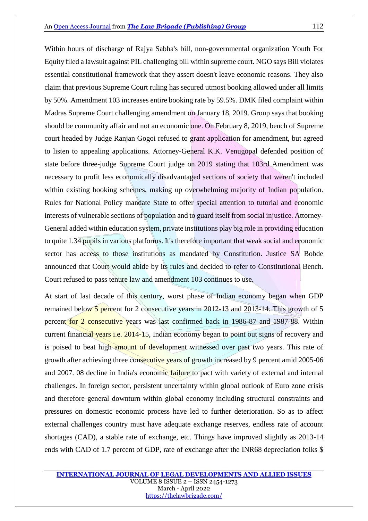Within hours of discharge of Rajya Sabha's bill, non-governmental organization Youth For Equity filed a lawsuit against PIL challenging bill within supreme court. NGO says Bill violates essential constitutional framework that they assert doesn't leave economic reasons. They also claim that previous Supreme Court ruling has secured utmost booking allowed under all limits by 50%. Amendment 103 increases entire booking rate by 59.5%. DMK filed complaint within Madras Supreme Court challenging amendment on January 18, 2019. Group says that booking should be community affair and not an economic one. On February 8, 2019, bench of Supreme court headed by Judge Ranjan Gogoi refused to grant application for amendment, but agreed to listen to appealing applications. Attorney-General K.K. Venugopal defended position of state before three-judge Supreme Court judge on 2019 stating that 103rd Amendment was necessary to profit less economically disadvantaged sections of society that weren't included within existing booking schemes, making up overwhelming majority of Indian population. Rules for National Policy mandate State to offer special attention to tutorial and economic interests of vulnerable sections of population and to guard itself from social injustice. Attorney-General added within education system, private institutions play big role in providing education to quite 1.34 pupils in various platforms. It's therefore important that weak social and economic sector has access to those institutions as mandated by Constitution. Justice SA Bobde announced that Court would abide by its rules and decided to refer to Constitutional Bench. Court refused to pass tenure law and amendment 103 continues to use.

At start of last decade of this century, worst phase of Indian economy began when GDP remained below 5 percent for 2 consecutive years in 2012-13 and 2013-14. This growth of 5 percent for 2 consecutive years was last confirmed back in 1986-87 and 1987-88. Within current financial years i.e. 2014-15, Indian economy began to point out signs of recovery and is poised to beat high amount of development witnessed over past two years. This rate of growth after achieving three consecutive years of growth increased by 9 percent amid 2005-06 and 2007. 08 decline in India's economic failure to pact with variety of external and internal challenges. In foreign sector, persistent uncertainty within global outlook of Euro zone crisis and therefore general downturn within global economy including structural constraints and pressures on domestic economic process have led to further deterioration. So as to affect external challenges country must have adequate exchange reserves, endless rate of account shortages (CAD), a stable rate of exchange, etc. Things have improved slightly as 2013-14 ends with CAD of 1.7 percent of GDP, rate of exchange after the INR68 depreciation folks \$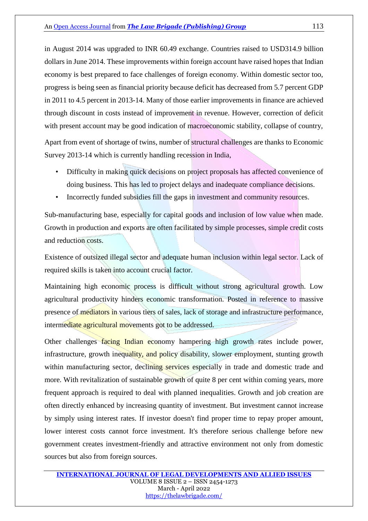in August 2014 was upgraded to INR 60.49 exchange. Countries raised to USD314.9 billion dollars in June 2014. These improvements within foreign account have raised hopes that Indian economy is best prepared to face challenges of foreign economy. Within domestic sector too, progress is being seen as financial priority because deficit has decreased from 5.7 percent GDP in 2011 to 4.5 percent in 2013-14. Many of those earlier improvements in finance are achieved through discount in costs instead of improvement in revenue. However, correction of deficit with present account may be good indication of macroeconomic stability, collapse of country,

Apart from event of shortage of twins, number of structural challenges are thanks to Economic Survey 2013-14 which is currently handling recession in India,

- Difficulty in making quick decisions on project proposals has affected convenience of doing business. This has led to project delays and inadequate compliance decisions.
- Incorrectly funded subsidies fill the gaps in investment and community resources.

Sub-manufacturing base, especially for capital goods and inclusion of low value when made. Growth in production and exports are often facilitated by simple processes, simple credit costs and reduction costs.

Existence of outsized illegal sector and adequate human inclusion within legal sector. Lack of required skills is taken into account crucial factor.

Maintaining high economic process is difficult without strong agricultural growth. Low agricultural productivity hinders economic transformation. Posted in reference to massive presence of mediators in various tiers of sales, lack of storage and infrastructure performance, intermediate agricultural movements got to be addressed.

Other challenges facing Indian economy hampering high growth rates include power, infrastructure, growth inequality, and policy disability, slower employment, stunting growth within manufacturing sector, declining services especially in trade and domestic trade and more. With revitalization of sustainable growth of quite 8 per cent within coming years, more frequent approach is required to deal with planned inequalities. Growth and job creation are often directly enhanced by increasing quantity of investment. But investment cannot increase by simply using interest rates. If investor doesn't find proper time to repay proper amount, lower interest costs cannot force investment. It's therefore serious challenge before new government creates investment-friendly and attractive environment not only from domestic sources but also from foreign sources.